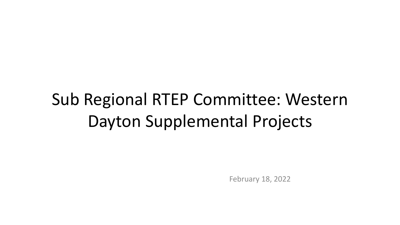# Sub Regional RTEP Committee: Western Dayton Supplemental Projects

February 18, 2022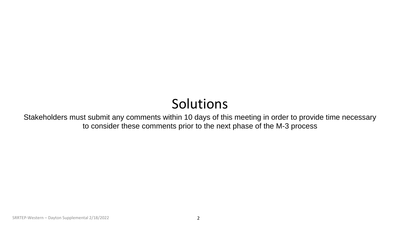## Solutions

Stakeholders must submit any comments within 10 days of this meeting in order to provide time necessary to consider these comments prior to the next phase of the M-3 process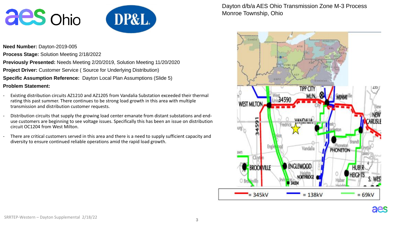



**Need Number:** Dayton-2019-005

**Process Stage:** Solution Meeting 2/18/2022

**Previously Presented:** Needs Meeting 2/20/2019, Solution Meeting 11/20/2020

**Project Driver:** Customer Service (Source for Underlying Distribution)

**Specific Assumption Reference:** Dayton Local Plan Assumptions (Slide 5)

**Problem Statement:**

- Existing distribution circuits AZ1210 and AZ1205 from Vandalia Substation exceeded their thermal rating this past summer. There continues to be strong load growth in this area with multiple transmission and distribution customer requests.
- Distribution circuits that supply the growing load center emanate from distant substations and enduse customers are beginning to see voltage issues. Specifically this has been an issue on distribution circuit OC1204 from West Milton.
- There are critical customers served in this area and there is a need to supply sufficient capacity and diversity to ensure continued reliable operations amid the rapid load growth.

Dayton d/b/a AES Ohio Transmission Zone M-3 Process Monroe Township, Ohio

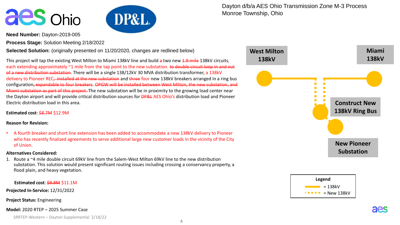



**Need Number:** Dayton-2019-005

**Process Stage:** Solution Meeting 2/18/2022

**Selected Solution:** (originally presented on 11/20/2020, changes are redlined below)

This project will tap the existing West Milton to Miami 138kV line and build a two new 1.9-mile 138kV circuits, each extending approximately ~1 mile from the tap point to the new substation. to double circuit loop in and out of a new distribution substation. There will be a single 138/12kV 30 MVA distribution transformer, a 138kV delivery to Pioneer REC, installed at the new substation and three four new 138kV breakers arranged in a ring bus configuration, expandable to four breakers. OPGW will be installed between West Milton, the new substation, and Miami substation as part of this project. The new substation will be in proximity to the growing load center near the Dayton airport and will provide critical distribution sources for **DP&L** AES Ohio's distribution load and Pioneer Electric distribution load in this area.

**Estimated cost**: \$8.7M \$12.9M

#### **Reason for Revision:**

• A fourth breaker and short line extension has been added to accommodate a new 138kV delivery to Pioneer who has recently finalized agreements to serve additional large new customer loads in the vicinity of the City of Union.

#### **Alternatives Considered:**

1. Route a ~4 mile double circuit 69kV line from the Salem-West Milton 69kV line to the new distribution substation. This solution would present significant routing issues including crossing a conservancy property, a flood plain, and heavy vegetation.

**Estimated cost**: \$9.8M \$11.1M

**Projected In-Service:** 12/31/2022

**Project Status:** Engineering

**Model:** 2020 RTEP – 2025 Summer Case

SRRTEP-Western – Dayton Supplemental 2/18/22

Dayton d/b/a AES Ohio Transmission Zone M-3 Process Monroe Township, Ohio





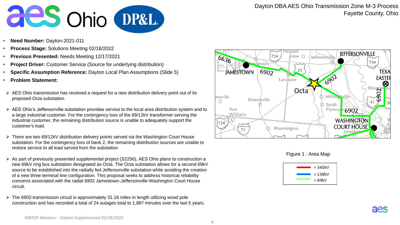

- **Need Number:** Dayton-2021-011
- **Process Stage:** Solutions Meeting 02/18/2022
- **Previous Presented:** Needs Meeting 12/17/2021
- **Project Driver:** Customer Service (Source for underlying distribution)
- **Specific Assumption Reference:** Dayton Local Plan Assumptions (Slide 5)
- **Problem Statement:**
- $\triangleright$  AES Ohio transmission has received a request for a new distribution delivery point out of its proposed Octa substation.
- $\triangleright$  AES Ohio's Jeffersonville substation provides service to the local area distribution system and to a large industrial customer. For the contingency loss of the 69/12kV transformer serving the industrial customer, the remaining distribution source is unable to adequately support the customer's load.
- There are two 69/12kV distribution delivery points served via the Washington Court House substation. For the contingency loss of bank 2, the remaining distribution sources are unable to restore service to all load served from the substation
- As part of previously presented supplemental project (S2256), AES Ohio plans to construction a new 69kV ring bus substation designated as Octa. The Octa substation allows for a second 69kV source to be established into the radially fed Jeffersonville substation while avoiding the creation of a new three terminal line configuration. This proposal seeks to address historical reliability concerns associated with the radial 6902 Jamestown-Jeffersonville-Washington Court House circuit.
- $\triangleright$  The 6902-transmission circuit is approximately 31.16 miles in length utilizing wood pole construction and has recorded a total of 24 outages total to 1,887 minutes over the last 5 years.



Figure 1 : Area Map

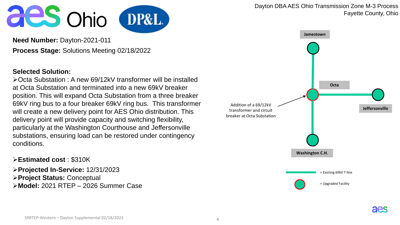



**Need Number:** Dayton-2021-011 **Process Stage:** Solutions Meeting 02/18/2022

### **Selected Solution:**

Octa Substation : A new 69/12kV transformer will be installed at Octa Substation and terminated into a new 69kV breaker position. This will expand Octa Substation from a three breaker 69kV ring bus to a four breaker 69kV ring bus. This transformer will create a new delivery point for AES Ohio distribution. This delivery point will provide capacity and switching flexibility, particularly at the Washington Courthouse and Jeffersonville substations, ensuring load can be restored under contingency conditions.

### **Estimated cost** : \$310K

**Projected In-Service:** 12/31/2023 **Project Status:** Conceptual **Model:** 2021 RTEP – 2026 Summer Case Dayton DBA AES Ohio Transmission Zone M-3 Process Fayette County, Ohio **Jamestown Octa**

= Existing 69kV T-line

**Washington C.H.**

= Upgraded Facility



**Jeffersonville**

Addition of a 69/12kV transformer and circuit breaker at Octa Substation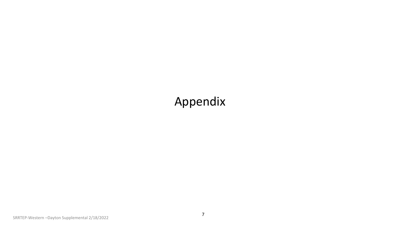## Appendix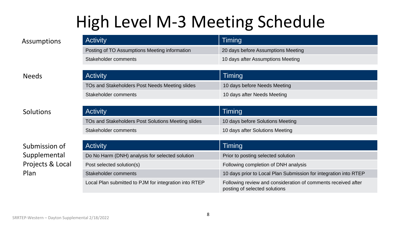# High Level M-3 Meeting Schedule

| Assumptions  | <b>Activity</b>                                | Timing                             |
|--------------|------------------------------------------------|------------------------------------|
|              | Posting of TO Assumptions Meeting information  | 20 days before Assumptions Meeting |
|              | Stakeholder comments                           | 10 days after Assumptions Meeting  |
|              |                                                |                                    |
| <b>Needs</b> | <b>Activity</b>                                | <b>Timing</b>                      |
|              | TOs and Stakeholders Post Needs Meeting slides | 10 days before Needs Meeting       |
|              | Stakeholder comments                           | 10 days after Needs Meeting        |

**Solutions** 

Submission of Supplemental Projects & Local Plan

| <b>Activity</b>                                    | Timing                           |
|----------------------------------------------------|----------------------------------|
| TOs and Stakeholders Post Solutions Meeting slides | 10 days before Solutions Meeting |
| Stakeholder comments                               | 10 days after Solutions Meeting  |

| <b>Activity</b>                                       | Timing                                                                                         |
|-------------------------------------------------------|------------------------------------------------------------------------------------------------|
| Do No Harm (DNH) analysis for selected solution       | Prior to posting selected solution                                                             |
| Post selected solution(s)                             | Following completion of DNH analysis                                                           |
| Stakeholder comments                                  | 10 days prior to Local Plan Submission for integration into RTEP                               |
| Local Plan submitted to PJM for integration into RTEP | Following review and consideration of comments received after<br>posting of selected solutions |